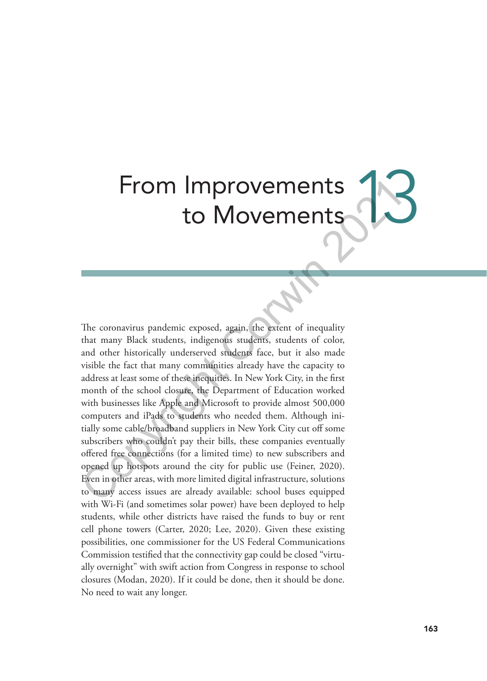# From Improvements Improvements<br>to Movements

The coronavirus pandemic exposed, again, the extent of inequality that many Black students, indigenous students, students of color, and other historically underserved students face, but it also made visible the fact that many communities already have the capacity to address at least some of these inequities. In New York City, in the first month of the school closure, the Department of Education worked with businesses like Apple and Microsoft to provide almost 500,000 computers and iPads to students who needed them. Although initially some cable/broadband suppliers in New York City cut off some subscribers who couldn't pay their bills, these companies eventually offered free connections (for a limited time) to new subscribers and opened up hotspots around the city for public use (Feiner, 2020). Even in other areas, with more limited digital infrastructure, solutions to many access issues are already available: school buses equipped with Wi-Fi (and sometimes solar power) have been deployed to help students, while other districts have raised the funds to buy or rent cell phone towers (Carter, 2020; Lee, 2020). Given these existing possibilities, one commissioner for the US Federal Communications Commission testified that the connectivity gap could be closed "virtually overnight" with swift action from Congress in response to school closures (Modan, 2020). If it could be done, then it should be done. No need to wait any longer. From Improvements<br>
to Movements<br>
to Movement Sextent of inequality<br>
The coronavirus pandemic exposed, again, the extent of inequality<br>
that many Black students, indigenous students, students of color,<br>
and other historical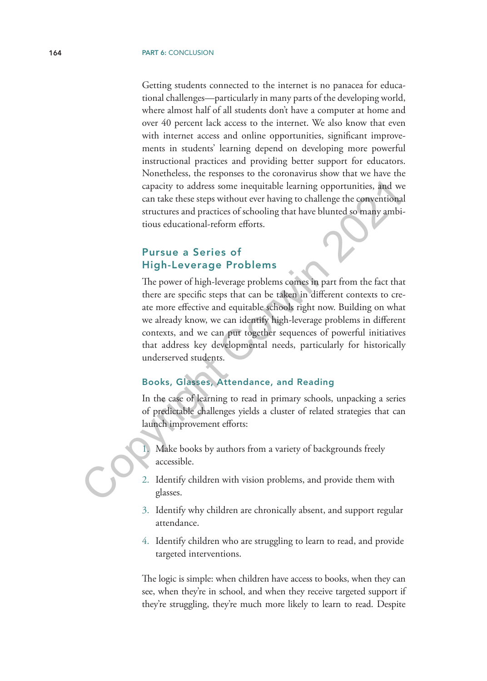Getting students connected to the internet is no panacea for educational challenges—particularly in many parts of the developing world, where almost half of all students don't have a computer at home and over 40 percent lack access to the internet. We also know that even with internet access and online opportunities, significant improvements in students' learning depend on developing more powerful instructional practices and providing better support for educators. Nonetheless, the responses to the coronavirus show that we have the capacity to address some inequitable learning opportunities, and we can take these steps without ever having to challenge the conventional structures and practices of schooling that have blunted so many ambitious educational-reform efforts.

# Pursue a Series of High-Leverage Problems

The power of high-leverage problems comes in part from the fact that there are specific steps that can be taken in different contexts to create more effective and equitable schools right now. Building on what we already know, we can identify high-leverage problems in different contexts, and we can put together sequences of powerful initiatives that address key developmental needs, particularly for historically underserved students. capacity to address some inequitable learning opportunities, and w<br>
can take these steps without ever having to challenge the conventions<br>
structures and practices of schooling that have blunted so many ambi<br>
tious educati

#### Books, Glasses, Attendance, and Reading

In the case of learning to read in primary schools, unpacking a series of predictable challenges yields a cluster of related strategies that can launch improvement efforts:

Make books by authors from a variety of backgrounds freely accessible.

- 2. Identify children with vision problems, and provide them with glasses.
- 3. Identify why children are chronically absent, and support regular attendance.
- 4. Identify children who are struggling to learn to read, and provide targeted interventions.

The logic is simple: when children have access to books, when they can see, when they're in school, and when they receive targeted support if they're struggling, they're much more likely to learn to read. Despite

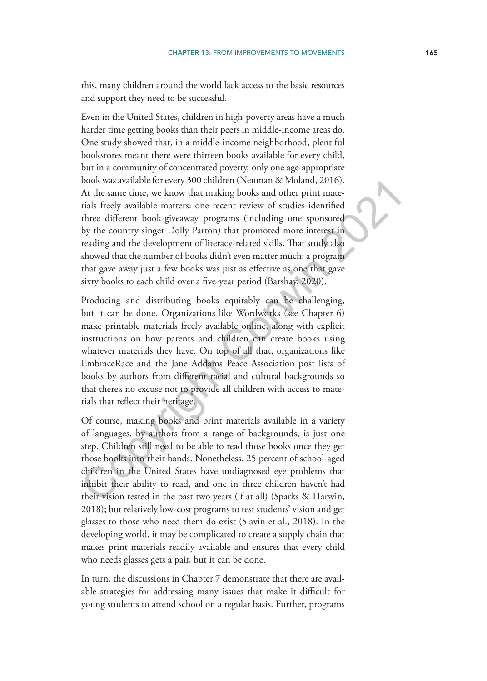this, many children around the world lack access to the basic resources and support they need to be successful.

Even in the United States, children in high-poverty areas have a much harder time getting books than their peers in middle-income areas do. One study showed that, in a middle-income neighborhood, plentiful bookstores meant there were thirteen books available for every child, but in a community of concentrated poverty, only one age-appropriate book was available for every 300 children (Neuman & Moland, 2016). At the same time, we know that making books and other print materials freely available matters: one recent review of studies identified three different book-giveaway programs (including one sponsored by the country singer Dolly Parton) that promoted more interest in reading and the development of literacy-related skills. That study also showed that the number of books didn't even matter much: a program that gave away just a few books was just as effective as one that gave sixty books to each child over a five-year period (Barshay, 2020).

Producing and distributing books equitably can be challenging, but it can be done. Organizations like Wordworks (see Chapter 6) make printable materials freely available online, along with explicit instructions on how parents and children can create books using whatever materials they have. On top of all that, organizations like EmbraceRace and the Jane Addams Peace Association post lists of books by authors from different racial and cultural backgrounds so that there's no excuse not to provide all children with access to materials that reflect their heritage. book was available materials concluded to the same time, we know that making books and other print materials freely available matters: one recent review of studies identified three different book-giveaway programs (includi

Of course, making books and print materials available in a variety of languages, by authors from a range of backgrounds, is just one step. Children still need to be able to read those books once they get those books into their hands. Nonetheless, 25 percent of school-aged children in the United States have undiagnosed eye problems that inhibit their ability to read, and one in three children haven't had their vision tested in the past two years (if at all) (Sparks & Harwin, 2018); but relatively low-cost programs to test students' vision and get glasses to those who need them do exist (Slavin et al., 2018). In the developing world, it may be complicated to create a supply chain that makes print materials readily available and ensures that every child who needs glasses gets a pair, but it can be done.

In turn, the discussions in Chapter 7 demonstrate that there are available strategies for addressing many issues that make it difficult for young students to attend school on a regular basis. Further, programs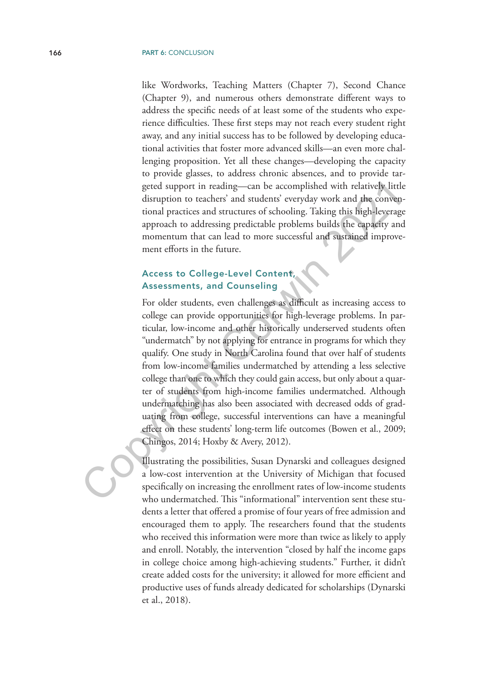like Wordworks, Teaching Matters (Chapter 7), Second Chance (Chapter 9), and numerous others demonstrate different ways to address the specific needs of at least some of the students who experience difficulties. These first steps may not reach every student right away, and any initial success has to be followed by developing educational activities that foster more advanced skills—an even more challenging proposition. Yet all these changes—developing the capacity to provide glasses, to address chronic absences, and to provide targeted support in reading—can be accomplished with relatively little disruption to teachers' and students' everyday work and the conventional practices and structures of schooling. Taking this high-leverage approach to addressing predictable problems builds the capacity and momentum that can lead to more successful and sustained improvement efforts in the future.

# Access to College-Level Content, Assessments, and Counseling

For older students, even challenges as difficult as increasing access to college can provide opportunities for high-leverage problems. In particular, low-income and other historically underserved students often "undermatch" by not applying for entrance in programs for which they qualify. One study in North Carolina found that over half of students from low-income families undermatched by attending a less selective college than one to which they could gain access, but only about a quarter of students from high-income families undermatched. Although undermatching has also been associated with decreased odds of graduating from college, successful interventions can have a meaningful effect on these students' long-term life outcomes (Bowen et al., 2009; Chingos, 2014; Hoxby & Avery, 2012). geted support in reading—can be accomplished with relatively little<br>disiuption to teachers' and students' everyday work and the convent<br>tional practices and structures of schooling. Taking this high-leverag<br>approach to add

Illustrating the possibilities, Susan Dynarski and colleagues designed a low-cost intervention at the University of Michigan that focused specifically on increasing the enrollment rates of low-income students who undermatched. This "informational" intervention sent these students a letter that offered a promise of four years of free admission and encouraged them to apply. The researchers found that the students who received this information were more than twice as likely to apply and enroll. Notably, the intervention "closed by half the income gaps in college choice among high-achieving students." Further, it didn't create added costs for the university; it allowed for more efficient and productive uses of funds already dedicated for scholarships (Dynarski et al., 2018).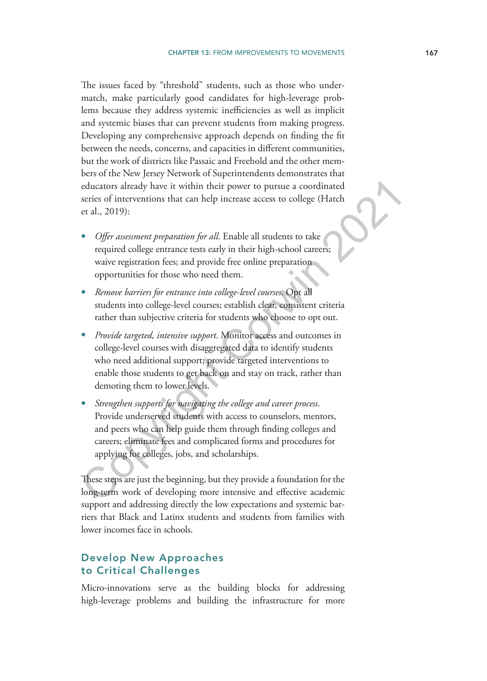The issues faced by "threshold" students, such as those who undermatch, make particularly good candidates for high-leverage problems because they address systemic inefficiencies as well as implicit and systemic biases that can prevent students from making progress. Developing any comprehensive approach depends on finding the fit between the needs, concerns, and capacities in different communities, but the work of districts like Passaic and Freehold and the other members of the New Jersey Network of Superintendents demonstrates that educators already have it within their power to pursue a coordinated series of interventions that can help increase access to college (Hatch et al., 2019):

- *Offer assessment preparation for all*. Enable all students to take required college entrance tests early in their high-school careers; waive registration fees; and provide free online preparation opportunities for those who need them.
- *Remove barriers for entrance into college-level courses*. Opt all students into college-level courses; establish clear, consistent criteria rather than subjective criteria for students who choose to opt out.
- *Provide targeted, intensive support*. Monitor access and outcomes in college-level courses with disaggregated data to identify students who need additional support; provide targeted interventions to enable those students to get back on and stay on track, rather than demoting them to lower levels. educators already have it within their power to pursue a coordinated<br>series of interventions that can help increase access to college (Hatch<br>et al., 2019):<br>
• *Offer assessment preparation for all.* Enable all students to
- *Strengthen supports for navigating the college and career process*. Provide underserved students with access to counselors, mentors, and peers who can help guide them through finding colleges and careers; eliminate fees and complicated forms and procedures for applying for colleges, jobs, and scholarships.

These steps are just the beginning, but they provide a foundation for the long-term work of developing more intensive and effective academic support and addressing directly the low expectations and systemic barriers that Black and Latinx students and students from families with lower incomes face in schools.

# Develop New Approaches to Critical Challenges

Micro-innovations serve as the building blocks for addressing high-leverage problems and building the infrastructure for more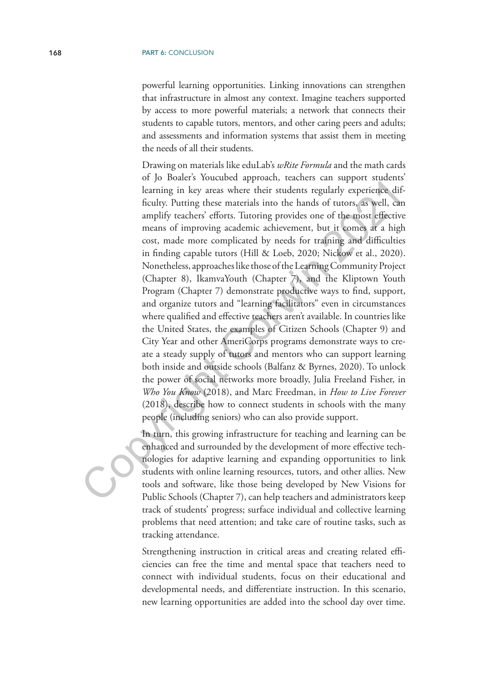powerful learning opportunities. Linking innovations can strengthen that infrastructure in almost any context. Imagine teachers supported by access to more powerful materials; a network that connects their students to capable tutors, mentors, and other caring peers and adults; and assessments and information systems that assist them in meeting the needs of all their students.

Drawing on materials like eduLab's *wRite Formula* and the math cards of Jo Boaler's Youcubed approach, teachers can support students' learning in key areas where their students regularly experience difficulty. Putting these materials into the hands of tutors, as well, can amplify teachers' efforts. Tutoring provides one of the most effective means of improving academic achievement, but it comes at a high cost, made more complicated by needs for training and difficulties in finding capable tutors (Hill & Loeb, 2020; Nickow et al., 2020). Nonetheless, approaches like those of the Learning Community Project (Chapter 8), IkamvaYouth (Chapter 7), and the Kliptown Youth Program (Chapter 7) demonstrate productive ways to find, support, and organize tutors and "learning facilitators" even in circumstances where qualified and effective teachers aren't available. In countries like the United States, the examples of Citizen Schools (Chapter 9) and City Year and other AmeriCorps programs demonstrate ways to create a steady supply of tutors and mentors who can support learning both inside and outside schools (Balfanz & Byrnes, 2020). To unlock the power of social networks more broadly, Julia Freeland Fisher, in *Who You Know* (2018), and Marc Freedman, in *How to Live Forever* (2018), describe how to connect students in schools with the many people (including seniors) who can also provide support. learning in key areas where their students regularly experience difficulty. Putting these materials into the hands of tutors, as well, can emplify technics' efforts. Tutoring provides one of the moost effective means of i

In turn, this growing infrastructure for teaching and learning can be enhanced and surrounded by the development of more effective technologies for adaptive learning and expanding opportunities to link students with online learning resources, tutors, and other allies. New tools and software, like those being developed by New Visions for Public Schools (Chapter 7), can help teachers and administrators keep track of students' progress; surface individual and collective learning problems that need attention; and take care of routine tasks, such as tracking attendance.

Strengthening instruction in critical areas and creating related efficiencies can free the time and mental space that teachers need to connect with individual students, focus on their educational and developmental needs, and differentiate instruction. In this scenario, new learning opportunities are added into the school day over time.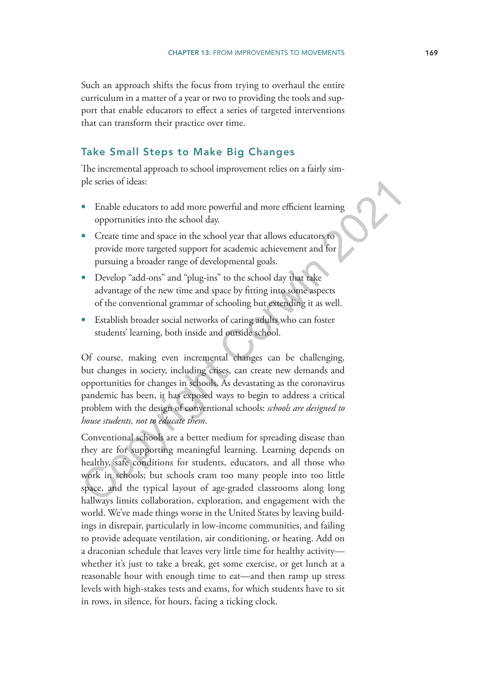Such an approach shifts the focus from trying to overhaul the entire curriculum in a matter of a year or two to providing the tools and support that enable educators to effect a series of targeted interventions that can transform their practice over time.

#### Take Small Steps to Make Big Changes

The incremental approach to school improvement relies on a fairly simple series of ideas:

- Enable educators to add more powerful and more efficient learning opportunities into the school day.
- Create time and space in the school year that allows educators to provide more targeted support for academic achievement and for pursuing a broader range of developmental goals.
- Develop "add-ons" and "plug-ins" to the school day that take advantage of the new time and space by fitting into some aspects of the conventional grammar of schooling but extending it as well.
- Establish broader social networks of caring adults who can foster students' learning, both inside and outside school.

Of course, making even incremental changes can be challenging, but changes in society, including crises, can create new demands and opportunities for changes in schools. As devastating as the coronavirus pandemic has been, it has exposed ways to begin to address a critical problem with the design of conventional schools: *schools are designed to house students, not to educate them*. The sense of ideas:<br>
• Enable educators to add more powerful and more efficient learning<br>
• Create time and space in the school year that allows educators to<br>
• Create time and space in the school year that allows educator

Conventional schools are a better medium for spreading disease than they are for supporting meaningful learning. Learning depends on healthy, safe conditions for students, educators, and all those who work in schools; but schools cram too many people into too little space, and the typical layout of age-graded classrooms along long hallways limits collaboration, exploration, and engagement with the world. We've made things worse in the United States by leaving buildings in disrepair, particularly in low-income communities, and failing to provide adequate ventilation, air conditioning, or heating. Add on a draconian schedule that leaves very little time for healthy activity whether it's just to take a break, get some exercise, or get lunch at a reasonable hour with enough time to eat—and then ramp up stress levels with high-stakes tests and exams, for which students have to sit in rows, in silence, for hours, facing a ticking clock.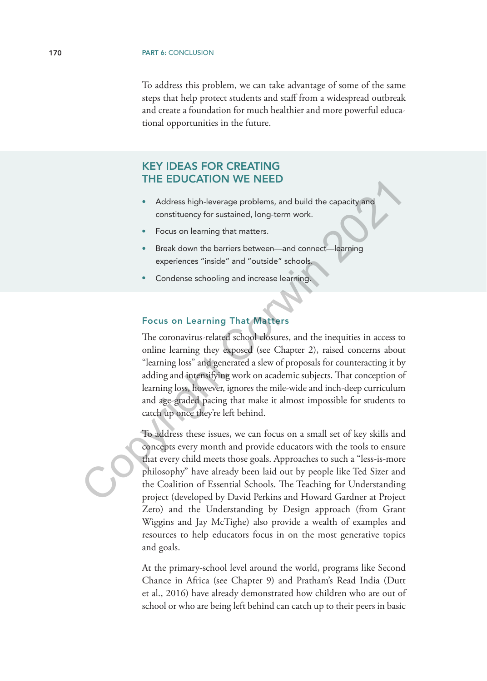To address this problem, we can take advantage of some of the same steps that help protect students and staff from a widespread outbreak and create a foundation for much healthier and more powerful educational opportunities in the future.

# KEY IDEAS FOR CREATING THE EDUCATION WE NEED

- Address high-leverage problems, and build the capacity and constituency for sustained, long-term work.
- Focus on learning that matters.
- Break down the barriers between—and connect—learning experiences "inside" and "outside" schools.
- Condense schooling and increase learning.

#### Focus on Learning That Matters

The coronavirus-related school closures, and the inequities in access to online learning they exposed (see Chapter 2), raised concerns about "learning loss" and generated a slew of proposals for counteracting it by adding and intensifying work on academic subjects. That conception of learning loss, however, ignores the mile-wide and inch-deep curriculum and age-graded pacing that make it almost impossible for students to catch up once they're left behind. Address high-leverage problems, and build the capacity and<br>constituency for sustained, long-term work.<br>Focus on learning that matters.<br><br>**•** Focus on learning that matters.<br>**•** Condense schooling and increase learning.<br>
• C

To address these issues, we can focus on a small set of key skills and concepts every month and provide educators with the tools to ensure that every child meets those goals. Approaches to such a "less-is-more philosophy" have already been laid out by people like Ted Sizer and the Coalition of Essential Schools. The Teaching for Understanding project (developed by David Perkins and Howard Gardner at Project Zero) and the Understanding by Design approach (from Grant Wiggins and Jay McTighe) also provide a wealth of examples and resources to help educators focus in on the most generative topics and goals.

At the primary-school level around the world, programs like Second Chance in Africa (see Chapter 9) and Pratham's Read India (Dutt et al., 2016) have already demonstrated how children who are out of school or who are being left behind can catch up to their peers in basic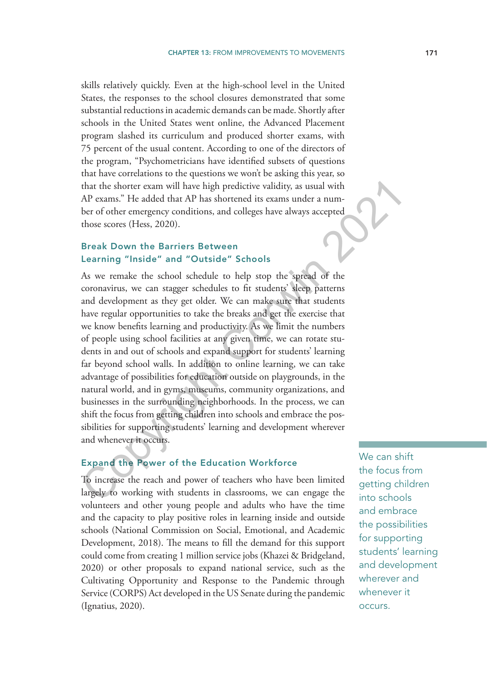skills relatively quickly. Even at the high-school level in the United States, the responses to the school closures demonstrated that some substantial reductions in academic demands can be made. Shortly after schools in the United States went online, the Advanced Placement program slashed its curriculum and produced shorter exams, with 75 percent of the usual content. According to one of the directors of the program, "Psychometricians have identified subsets of questions that have correlations to the questions we won't be asking this year, so that the shorter exam will have high predictive validity, as usual with AP exams." He added that AP has shortened its exams under a number of other emergency conditions, and colleges have always accepted those scores (Hess, 2020).

## Break Down the Barriers Between Learning "Inside" and "Outside" Schools

As we remake the school schedule to help stop the spread of the coronavirus, we can stagger schedules to fit students' sleep patterns and development as they get older. We can make sure that students have regular opportunities to take the breaks and get the exercise that we know benefits learning and productivity. As we limit the numbers of people using school facilities at any given time, we can rotate students in and out of schools and expand support for students' learning far beyond school walls. In addition to online learning, we can take advantage of possibilities for education outside on playgrounds, in the natural world, and in gyms, museums, community organizations, and businesses in the surrounding neighborhoods. In the process, we can shift the focus from getting children into schools and embrace the possibilities for supporting students' learning and development wherever and whenever it occurs. that the shorter exam will have high predictive validity, as usual with<br>AP exams." He added that AP has shortened its exams under a num-<br>AP of ofther emergency conditions, and colleges have always accepted<br>those scores (He

#### Expand the Power of the Education Workforce

To increase the reach and power of teachers who have been limited largely to working with students in classrooms, we can engage the volunteers and other young people and adults who have the time and the capacity to play positive roles in learning inside and outside schools (National Commission on Social, Emotional, and Academic Development, 2018). The means to fill the demand for this support could come from creating 1 million service jobs (Khazei & Bridgeland, 2020) or other proposals to expand national service, such as the Cultivating Opportunity and Response to the Pandemic through Service (CORPS) Act developed in the US Senate during the pandemic (Ignatius, 2020).

We can shift the focus from getting children into schools and embrace the possibilities for supporting students' learning and development wherever and whenever it occurs.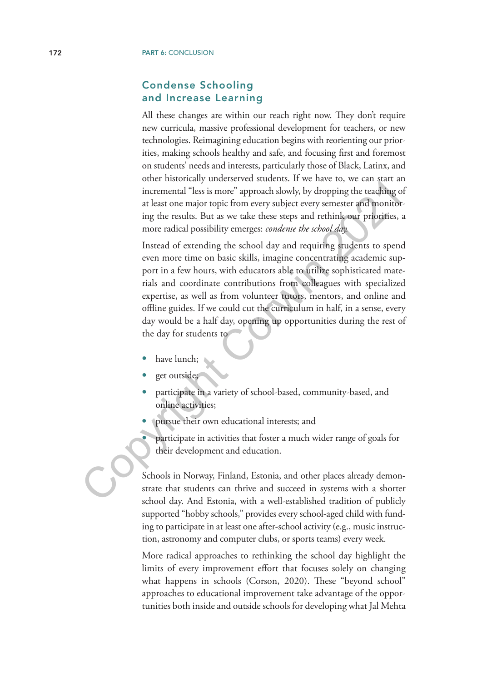#### Condense Schooling and Increase Learning

All these changes are within our reach right now. They don't require new curricula, massive professional development for teachers, or new technologies. Reimagining education begins with reorienting our priorities, making schools healthy and safe, and focusing first and foremost on students' needs and interests, particularly those of Black, Latinx, and other historically underserved students. If we have to, we can start an incremental "less is more" approach slowly, by dropping the teaching of at least one major topic from every subject every semester and monitoring the results. But as we take these steps and rethink our priorities, a more radical possibility emerges: *condense the school day.*

Instead of extending the school day and requiring students to spend even more time on basic skills, imagine concentrating academic support in a few hours, with educators able to utilize sophisticated materials and coordinate contributions from colleagues with specialized expertise, as well as from volunteer tutors, mentors, and online and offline guides. If we could cut the curriculum in half, in a sense, every day would be a half day, opening up opportunities during the rest of the day for students to incremental "less is more" approach slowly, by dropping the teaching at least one major topic from every subject every semester and monitor ing the results. But as we take these steps and rethink our priorifies, more radic

- have lunch;
- get outside;
- participate in a variety of school-based, community-based, and online activities;
- pursue their own educational interests; and
	- participate in activities that foster a much wider range of goals for their development and education.

Schools in Norway, Finland, Estonia, and other places already demonstrate that students can thrive and succeed in systems with a shorter school day. And Estonia, with a well-established tradition of publicly supported "hobby schools," provides every school-aged child with funding to participate in at least one after-school activity (e.g., music instruction, astronomy and computer clubs, or sports teams) every week.

More radical approaches to rethinking the school day highlight the limits of every improvement effort that focuses solely on changing what happens in schools (Corson, 2020). These "beyond school" approaches to educational improvement take advantage of the opportunities both inside and outside schools for developing what Jal Mehta